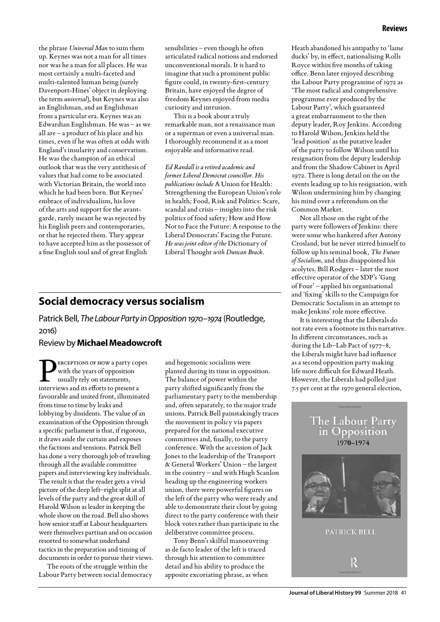the phrase *Universal Man* to sum them up. Keynes was not a man for all times nor was he a man for all places. He was most certainly a multi-faceted and multi-talented human being (surely Davenport-Hines' object in deploying the term *universal*), but Keynes was also an Englishman, and an Englishman from a particular era. Keynes was an Edwardian Englishman. He was – as we all are – a product of his place and his times, even if he was often at odds with England's insularity and conservatism. He was the champion of an ethical outlook that was the very antithesis of values that had come to be associated with Victorian Britain, the world into which he had been born. But Keynes' embrace of individualism, his love of the arts and support for the avantgarde, rarely meant he was rejected by his English peers and contemporaries, or that he rejected them. They appear to have accepted him as the possessor of a fine English soul and of great English

sensibilities – even though he often articulated radical notions and endorsed unconventional morals. It is hard to imagine that such a prominent public figure could, in twenty-first-century Britain, have enjoyed the degree of freedom Keynes enjoyed from media curiosity and intrusion.

This is a book about a truly remarkable man, not a renaissance man or a superman or even a universal man. I thoroughly recommend it as a most enjoyable and informative read.

*Ed Randall is a retired academic and former Liberal Democrat councillor. His publications include* A Union for Health: Strengthening the European Union's role in health*;* Food, Risk and Politics: Scare, scandal and crisis – insights into the risk politics of food safety*;* How and How Not to Face the Future: A response to the Liberal Democrats' Facing the Future*. He was joint editor of the* Dictionary of Liberal Thought *with Duncan Brack.*

### **Social democracy versus socialism**

Patrick Bell, *The Labour Party in Opposition 1970–1974* (Routledge, 2016)

#### Review by **Michael Meadowcroft**

**ERCEPTIONS OF HOW a party copes** with the years of opposition usually rely on statements, interviews and its efforts to present a favourable and united front, illuminated from time to time by leaks and lobbying by dissidents. The value of an examination of the Opposition through a specific parliament is that, if rigorous, it draws aside the curtain and exposes the factions and tensions. Patrick Bell has done a very thorough job of trawling through all the available committee papers and interviewing key individuals. The result is that the reader gets a vivid picture of the deep left–right split at all levels of the party and the great skill of Harold Wilson as leader in keeping the whole show on the road. Bell also shows how senior staff at Labour headquarters were themselves partisan and on occasion resorted to somewhat underhand tactics in the preparation and timing of documents in order to pursue their views.

The roots of the struggle within the Labour Party between social democracy

and hegemonic socialism were planted during its time in opposition. The balance of power within the party shifted significantly from the parliamentary party to the membership and, often separately, to the major trade unions. Patrick Bell painstakingly traces the movement in policy via papers prepared for the national executive committees and, finally, to the party conference. With the accession of Jack Jones to the leadership of the Transport & General Workers' Union – the largest in the country – and with Hugh Scanlon heading up the engineering workers union, there were powerful figures on the left of the party who were ready and able to demonstrate their clout by going direct to the party conference with their block votes rather than participate in the deliberative committee process.

Tony Benn's skilful manoeuvring as de facto leader of the left is traced through his attention to committee detail and his ability to produce the apposite excoriating phrase, as when Heath abandoned his antipathy to 'lame ducks' by, in effect, nationalising Rolls Royce within five months of taking office. Benn later enjoyed describing the Labour Party programme of 1972 as 'The most radical and comprehensive programme ever produced by the Labour Party', which guaranteed a great embarrassment to the then deputy leader, Roy Jenkins. According to Harold Wilson, Jenkins held the 'lead position' as the putative leader of the party to follow Wilson until his resignation from the deputy leadership and from the Shadow Cabinet in April 1972. There is long detail on the on the events leading up to his resignation, with Wilson undermining him by changing his mind over a referendum on the Common Market.

Not all those on the right of the party were followers of Jenkins: there were some who hankered after Antony Crosland, but he never stirred himself to follow up his seminal book, *The Future of Socialism*, and thus disappointed his acolytes. Bill Rodgers – later the most effective operator of the SDP's 'Gang of Four' – applied his organisational and 'fixing' skills to the Campaign for Democratic Socialism in an attempt to make Jenkins' role more effective.

It is interesting that the Liberals do not rate even a footnote in this narrative. In different circumstances, such as during the Lib–Lab Pact of 1977–8, the Liberals might have had influence as a second opposition party making life more difficult for Edward Heath. However, the Liberals had polled just 7.5 per cent at the 1970 general election,